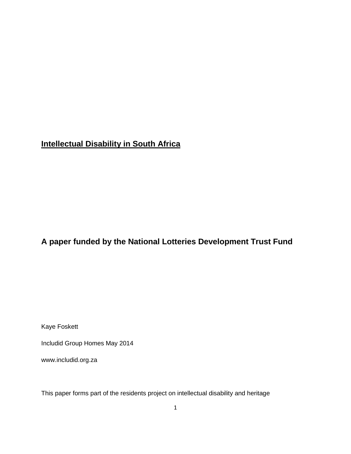# **Intellectual Disability in South Africa**

## **A paper funded by the National Lotteries Development Trust Fund**

Kaye Foskett

Includid Group Homes May 2014

www.includid.org.za

This paper forms part of the residents project on intellectual disability and heritage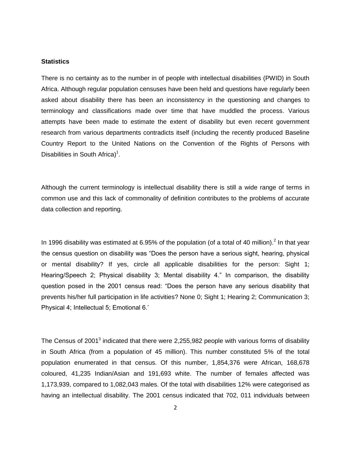#### **Statistics**

There is no certainty as to the number in of people with intellectual disabilities (PWID) in South Africa. Although regular population censuses have been held and questions have regularly been asked about disability there has been an inconsistency in the questioning and changes to terminology and classifications made over time that have muddled the process. Various attempts have been made to estimate the extent of disability but even recent government research from various departments contradicts itself (including the recently produced Baseline Country Report to the United Nations on the Convention of the Rights of Persons with Disabilities in South Africa)<sup>1</sup>.

Although the current terminology is intellectual disability there is still a wide range of terms in common use and this lack of commonality of definition contributes to the problems of accurate data collection and reporting.

In 1996 disability was estimated at 6.95% of the population (of a total of 40 million).<sup>2</sup> In that year the census question on disability was "Does the person have a serious sight, hearing, physical or mental disability? If yes, circle all applicable disabilities for the person: Sight 1; Hearing/Speech 2; Physical disability 3; Mental disability 4." In comparison, the disability question posed in the 2001 census read: "Does the person have any serious disability that prevents his/her full participation in life activities? None 0; Sight 1; Hearing 2; Communication 3; Physical 4; Intellectual 5; Emotional 6.'

The Census of 2001<sup>3</sup> indicated that there were 2,255,982 people with various forms of disability in South Africa (from a population of 45 million). This number constituted 5% of the total population enumerated in that census. Of this number, 1,854,376 were African, 168,678 coloured, 41,235 Indian/Asian and 191,693 white. The number of females affected was 1,173,939, compared to 1,082,043 males. Of the total with disabilities 12% were categorised as having an intellectual disability. The 2001 census indicated that 702, 011 individuals between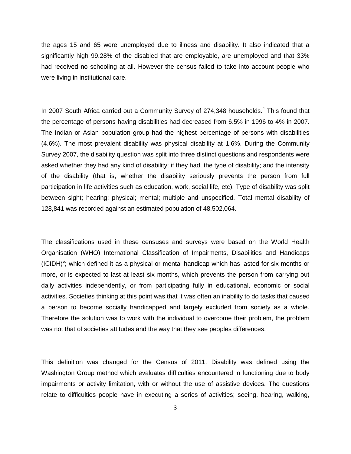the ages 15 and 65 were unemployed due to illness and disability. It also indicated that a significantly high 99.28% of the disabled that are employable, are unemployed and that 33% had received no schooling at all. However the census failed to take into account people who were living in institutional care.

In 2007 South Africa carried out a Community Survey of 274,348 households.<sup>4</sup> This found that the percentage of persons having disabilities had decreased from 6.5% in 1996 to 4% in 2007. The Indian or Asian population group had the highest percentage of persons with disabilities (4.6%). The most prevalent disability was physical disability at 1.6%. During the Community Survey 2007, the disability question was split into three distinct questions and respondents were asked whether they had any kind of disability; if they had, the type of disability; and the intensity of the disability (that is, whether the disability seriously prevents the person from full participation in life activities such as education, work, social life, etc). Type of disability was split between sight; hearing; physical; mental; multiple and unspecified. Total mental disability of 128,841 was recorded against an estimated population of 48,502,064.

The classifications used in these censuses and surveys were based on the World Health Organisation (WHO) International Classification of Impairments, Disabilities and Handicaps  $(ICIDH)<sup>5</sup>$ ; which defined it as a physical or mental handicap which has lasted for six months or more, or is expected to last at least six months, which prevents the person from carrying out daily activities independently, or from participating fully in educational, economic or social activities. Societies thinking at this point was that it was often an inability to do tasks that caused a person to become socially handicapped and largely excluded from society as a whole. Therefore the solution was to work with the individual to overcome their problem, the problem was not that of societies attitudes and the way that they see peoples differences.

This definition was changed for the Census of 2011. Disability was defined using the Washington Group method which evaluates difficulties encountered in functioning due to body impairments or activity limitation, with or without the use of assistive devices. The questions relate to difficulties people have in executing a series of activities; seeing, hearing, walking,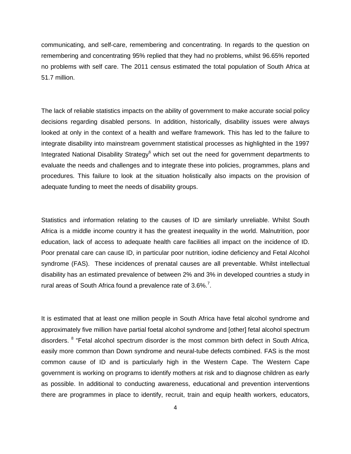communicating, and self-care, remembering and concentrating. In regards to the question on remembering and concentrating 95% replied that they had no problems, whilst 96.65% reported no problems with self care. The 2011 census estimated the total population of South Africa at 51.7 million.

The lack of reliable statistics impacts on the ability of government to make accurate social policy decisions regarding disabled persons. In addition, historically, disability issues were always looked at only in the context of a health and welfare framework. This has led to the failure to integrate disability into mainstream government statistical processes as highlighted in the 1997 Integrated National Disability Strategy<sup>6</sup> which set out the need for government departments to evaluate the needs and challenges and to integrate these into policies, programmes, plans and procedures. This failure to look at the situation holistically also impacts on the provision of adequate funding to meet the needs of disability groups.

Statistics and information relating to the causes of ID are similarly unreliable. Whilst South Africa is a middle income country it has the greatest inequality in the world. Malnutrition, poor education, lack of access to adequate health care facilities all impact on the incidence of ID. Poor prenatal care can cause ID, in particular poor nutrition, iodine deficiency and Fetal Alcohol syndrome (FAS). These incidences of prenatal causes are all preventable. Whilst intellectual disability has an estimated prevalence of between 2% and 3% in developed countries a study in rural areas of South Africa found a prevalence rate of  $3.6\%$ <sup>7</sup>.

It is estimated that at least one million people in South Africa have fetal alcohol syndrome and approximately five million have partial foetal alcohol syndrome and [other] fetal alcohol spectrum disorders. <sup>8</sup> "Fetal alcohol spectrum disorder is the most common birth defect in South Africa, easily more common than Down syndrome and neural-tube defects combined. FAS is the most common cause of ID and is particularly high in the Western Cape. The Western Cape government is working on programs to identify mothers at risk and to diagnose children as early as possible. In additional to conducting awareness, educational and prevention interventions there are programmes in place to identify, recruit, train and equip health workers, educators,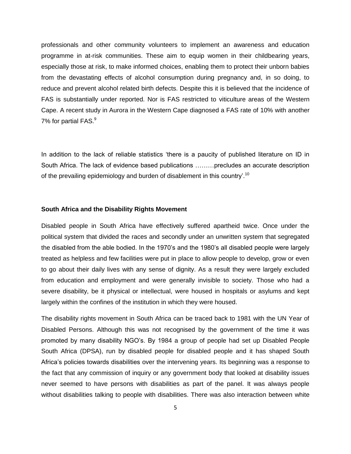professionals and other community volunteers to implement an awareness and education programme in at-risk communities. These aim to equip women in their childbearing years, especially those at risk, to make informed choices, enabling them to protect their unborn babies from the devastating effects of alcohol consumption during pregnancy and, in so doing, to reduce and prevent alcohol related birth defects. Despite this it is believed that the incidence of FAS is substantially under reported. Nor is FAS restricted to viticulture areas of the Western Cape. A recent study in Aurora in the Western Cape diagnosed a FAS rate of 10% with another 7% for partial FAS.<sup>9</sup>

In addition to the lack of reliable statistics 'there is a paucity of published literature on ID in South Africa. The lack of evidence based publications ………precludes an accurate description of the prevailing epidemiology and burden of disablement in this country'.<sup>10</sup>

#### **South Africa and the Disability Rights Movement**

Disabled people in South Africa have effectively suffered apartheid twice. Once under the political system that divided the races and secondly under an unwritten system that segregated the disabled from the able bodied. In the 1970's and the 1980's all disabled people were largely treated as helpless and few facilities were put in place to allow people to develop, grow or even to go about their daily lives with any sense of dignity. As a result they were largely excluded from education and employment and were generally invisible to society. Those who had a severe disability, be it physical or intellectual, were housed in hospitals or asylums and kept largely within the confines of the institution in which they were housed.

The disability rights movement in South Africa can be traced back to 1981 with the UN Year of Disabled Persons. Although this was not recognised by the government of the time it was promoted by many disability NGO's. By 1984 a group of people had set up Disabled People South Africa (DPSA), run by disabled people for disabled people and it has shaped South Africa's policies towards disabilities over the intervening years. Its beginning was a response to the fact that any commission of inquiry or any government body that looked at disability issues never seemed to have persons with disabilities as part of the panel. It was always people without disabilities talking to people with disabilities. There was also interaction between white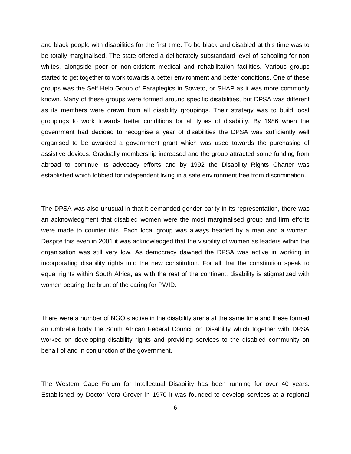and black people with disabilities for the first time. To be black and disabled at this time was to be totally marginalised. The state offered a deliberately substandard level of schooling for non whites, alongside poor or non-existent medical and rehabilitation facilities. Various groups started to get together to work towards a better environment and better conditions. One of these groups was the Self Help Group of Paraplegics in Soweto, or SHAP as it was more commonly known. Many of these groups were formed around specific disabilities, but DPSA was different as its members were drawn from all disability groupings. Their strategy was to build local groupings to work towards better conditions for all types of disability. By 1986 when the government had decided to recognise a year of disabilities the DPSA was sufficiently well organised to be awarded a government grant which was used towards the purchasing of assistive devices. Gradually membership increased and the group attracted some funding from abroad to continue its advocacy efforts and by 1992 the Disability Rights Charter was established which lobbied for independent living in a safe environment free from discrimination.

The DPSA was also unusual in that it demanded gender parity in its representation, there was an acknowledgment that disabled women were the most marginalised group and firm efforts were made to counter this. Each local group was always headed by a man and a woman. Despite this even in 2001 it was acknowledged that the visibility of women as leaders within the organisation was still very low. As democracy dawned the DPSA was active in working in incorporating disability rights into the new constitution. For all that the constitution speak to equal rights within South Africa, as with the rest of the continent, disability is stigmatized with women bearing the brunt of the caring for PWID.

There were a number of NGO's active in the disability arena at the same time and these formed an umbrella body the South African Federal Council on Disability which together with DPSA worked on developing disability rights and providing services to the disabled community on behalf of and in conjunction of the government.

The Western Cape Forum for Intellectual Disability has been running for over 40 years. Established by Doctor Vera Grover in 1970 it was founded to develop services at a regional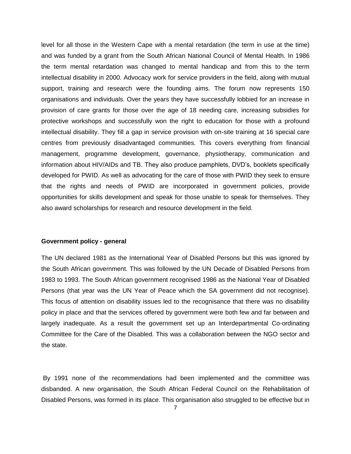level for all those in the Western Cape with a mental retardation (the term in use at the time) and was funded by a grant from the South African National Council of Mental Health. In 1986 the term mental retardation was changed to mental handicap and from this to the term intellectual disability in 2000. Advocacy work for service providers in the field, along with mutual support, training and research were the founding aims. The forum now represents 150 organisations and individuals. Over the years they have successfully lobbied for an increase in provision of care grants for those over the age of 18 needing care, increasing subsidies for protective workshops and successfully won the right to education for those with a profound intellectual disability. They fill a gap in service provision with on-site training at 16 special care centres from previously disadvantaged communities. This covers everything from financial management, programme development, governance, physiotherapy, communication and information about HIV/AIDs and TB. They also produce pamphlets, DVD's, booklets specifically developed for PWID. As well as advocating for the care of those with PWID they seek to ensure that the rights and needs of PWID are incorporated in government policies, provide opportunities for skills development and speak for those unable to speak for themselves. They also award scholarships for research and resource development in the field.

#### **Government policy - general**

The UN declared 1981 as the International Year of Disabled Persons but this was ignored by the South African government. This was followed by the UN Decade of Disabled Persons from 1983 to 1993. The South African government recognised 1986 as the National Year of Disabled Persons (that year was the UN Year of Peace which the SA government did not recognise). This focus of attention on disability issues led to the recognisance that there was no disability policy in place and that the services offered by government were both few and far between and largely inadequate. As a result the government set up an Interdepartmental Co-ordinating Committee for the Care of the Disabled. This was a collaboration between the NGO sector and the state.

By 1991 none of the recommendations had been implemented and the committee was disbanded. A new organisation, the South African Federal Council on the Rehabilitation of Disabled Persons, was formed in its place. This organisation also struggled to be effective but in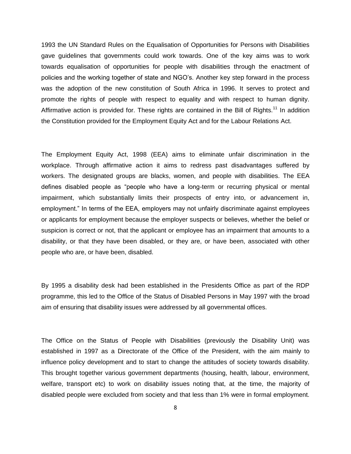1993 the UN Standard Rules on the Equalisation of Opportunities for Persons with Disabilities gave guidelines that governments could work towards. One of the key aims was to work towards equalisation of opportunities for people with disabilities through the enactment of policies and the working together of state and NGO's. Another key step forward in the process was the adoption of the new constitution of South Africa in 1996. It serves to protect and promote the rights of people with respect to equality and with respect to human dignity. Affirmative action is provided for. These rights are contained in the Bill of Rights.<sup>11</sup> In addition the Constitution provided for the Employment Equity Act and for the Labour Relations Act.

The Employment Equity Act, 1998 (EEA) aims to eliminate unfair discrimination in the workplace. Through affirmative action it aims to redress past disadvantages suffered by workers. The designated groups are blacks, women, and people with disabilities. The EEA defines disabled people as "people who have a long-term or recurring physical or mental impairment, which substantially limits their prospects of entry into, or advancement in, employment." In terms of the EEA, employers may not unfairly discriminate against employees or applicants for employment because the employer suspects or believes, whether the belief or suspicion is correct or not, that the applicant or employee has an impairment that amounts to a disability, or that they have been disabled, or they are, or have been, associated with other people who are, or have been, disabled.

By 1995 a disability desk had been established in the Presidents Office as part of the RDP programme, this led to the Office of the Status of Disabled Persons in May 1997 with the broad aim of ensuring that disability issues were addressed by all governmental offices.

The Office on the Status of People with Disabilities (previously the Disability Unit) was established in 1997 as a Directorate of the Office of the President, with the aim mainly to influence policy development and to start to change the attitudes of society towards disability. This brought together various government departments (housing, health, labour, environment, welfare, transport etc) to work on disability issues noting that, at the time, the majority of disabled people were excluded from society and that less than 1% were in formal employment.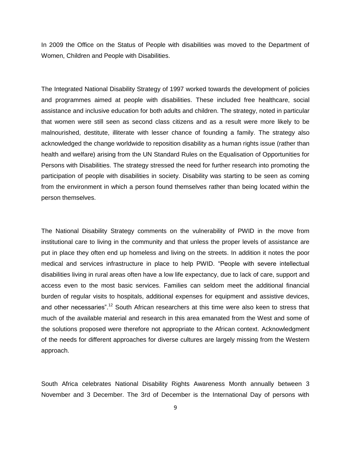In 2009 the Office on the Status of People with disabilities was moved to the Department of Women, Children and People with Disabilities.

The Integrated National Disability Strategy of 1997 worked towards the development of policies and programmes aimed at people with disabilities. These included free healthcare, social assistance and inclusive education for both adults and children. The strategy, noted in particular that women were still seen as second class citizens and as a result were more likely to be malnourished, destitute, illiterate with lesser chance of founding a family. The strategy also acknowledged the change worldwide to reposition disability as a human rights issue (rather than health and welfare) arising from the UN Standard Rules on the Equalisation of Opportunities for Persons with Disabilities. The strategy stressed the need for further research into promoting the participation of people with disabilities in society. Disability was starting to be seen as coming from the environment in which a person found themselves rather than being located within the person themselves.

The National Disability Strategy comments on the vulnerability of PWID in the move from institutional care to living in the community and that unless the proper levels of assistance are put in place they often end up homeless and living on the streets. In addition it notes the poor medical and services infrastructure in place to help PWID. "People with severe intellectual disabilities living in rural areas often have a low life expectancy, due to lack of care, support and access even to the most basic services. Families can seldom meet the additional financial burden of regular visits to hospitals, additional expenses for equipment and assistive devices, and other necessaries".<sup>12</sup> South African researchers at this time were also keen to stress that much of the available material and research in this area emanated from the West and some of the solutions proposed were therefore not appropriate to the African context. Acknowledgment of the needs for different approaches for diverse cultures are largely missing from the Western approach.

South Africa celebrates National Disability Rights Awareness Month annually between 3 November and 3 December. The 3rd of December is the International Day of persons with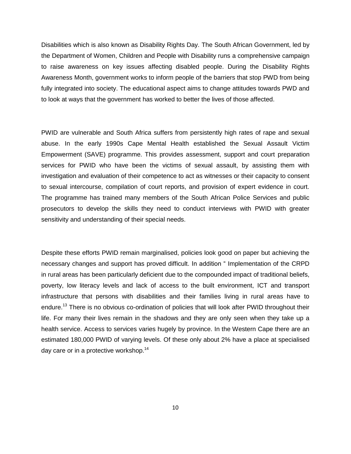Disabilities which is also known as Disability Rights Day. The South African Government, led by the Department of Women, Children and People with Disability runs a comprehensive campaign to raise awareness on key issues affecting disabled people. During the Disability Rights Awareness Month, government works to inform people of the barriers that stop PWD from being fully integrated into society. The educational aspect aims to change attitudes towards PWD and to look at ways that the government has worked to better the lives of those affected.

PWID are vulnerable and South Africa suffers from persistently high rates of rape and sexual abuse. In the early 1990s Cape Mental Health established the Sexual Assault Victim Empowerment (SAVE) programme. This provides assessment, support and court preparation services for PWID who have been the victims of sexual assault, by assisting them with investigation and evaluation of their competence to act as witnesses or their capacity to consent to sexual intercourse, compilation of court reports, and provision of expert evidence in court. The programme has trained many members of the South African Police Services and public prosecutors to develop the skills they need to conduct interviews with PWID with greater sensitivity and understanding of their special needs.

Despite these efforts PWID remain marginalised, policies look good on paper but achieving the necessary changes and support has proved difficult. In addition " Implementation of the CRPD in rural areas has been particularly deficient due to the compounded impact of traditional beliefs, poverty, low literacy levels and lack of access to the built environment, ICT and transport infrastructure that persons with disabilities and their families living in rural areas have to endure.<sup>13</sup> There is no obvious co-ordination of policies that will look after PWID throughout their life. For many their lives remain in the shadows and they are only seen when they take up a health service. Access to services varies hugely by province. In the Western Cape there are an estimated 180,000 PWID of varying levels. Of these only about 2% have a place at specialised day care or in a protective workshop.<sup>14</sup>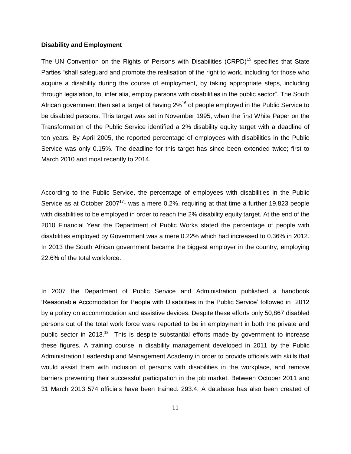#### **Disability and Employment**

The UN Convention on the Rights of Persons with Disabilities (CRPD)<sup>15</sup> specifies that State Parties "shall safeguard and promote the realisation of the right to work, including for those who acquire a disability during the course of employment, by taking appropriate steps, including through legislation, to, inter alia, employ persons with disabilities in the public sector". The South African government then set a target of having  $2\%$ <sup>16</sup> of people employed in the Public Service to be disabled persons. This target was set in November 1995, when the first White Paper on the Transformation of the Public Service identified a 2% disability equity target with a deadline of ten years. By April 2005, the reported percentage of employees with disabilities in the Public Service was only 0.15%. The deadline for this target has since been extended twice; first to March 2010 and most recently to 2014.

According to the Public Service, the percentage of employees with disabilities in the Public Service as at October 2007<sup>17</sup>- was a mere 0.2%, requiring at that time a further 19,823 people with disabilities to be employed in order to reach the 2% disability equity target. At the end of the 2010 Financial Year the Department of Public Works stated the percentage of people with disabilities employed by Government was a mere 0.22% which had increased to 0.36% in 2012. In 2013 the South African government became the biggest employer in the country, employing 22.6% of the total workforce.

In 2007 the Department of Public Service and Administration published a handbook 'Reasonable Accomodation for People with Disabilities in the Public Service' followed in 2012 by a policy on accommodation and assistive devices. Despite these efforts only 50,867 disabled persons out of the total work force were reported to be in employment in both the private and public sector in 2013.<sup>18</sup> This is despite substantial efforts made by government to increase these figures. A training course in disability management developed in 2011 by the Public Administration Leadership and Management Academy in order to provide officials with skills that would assist them with inclusion of persons with disabilities in the workplace, and remove barriers preventing their successful participation in the job market. Between October 2011 and 31 March 2013 574 officials have been trained. 293.4. A database has also been created of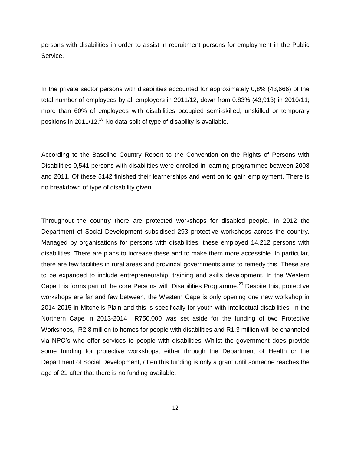persons with disabilities in order to assist in recruitment persons for employment in the Public Service.

In the private sector persons with disabilities accounted for approximately 0,8% (43,666) of the total number of employees by all employers in 2011/12, down from 0.83% (43,913) in 2010/11; more than 60% of employees with disabilities occupied semi-skilled, unskilled or temporary positions in 2011/12.<sup>19</sup> No data split of type of disability is available.

According to the Baseline Country Report to the Convention on the Rights of Persons with Disabilities 9,541 persons with disabilities were enrolled in learning programmes between 2008 and 2011. Of these 5142 finished their learnerships and went on to gain employment. There is no breakdown of type of disability given.

Throughout the country there are protected workshops for disabled people. In 2012 the Department of Social Development subsidised 293 protective workshops across the country. Managed by organisations for persons with disabilities, these employed 14,212 persons with disabilities. There are plans to increase these and to make them more accessible. In particular, there are few facilities in rural areas and provincal governments aims to remedy this. These are to be expanded to include entrepreneurship, training and skills development. In the Western Cape this forms part of the core Persons with Disabilities Programme.<sup>20</sup> Despite this, protective workshops are far and few between, the Western Cape is only opening one new workshop in 2014-2015 in Mitchells Plain and this is specifically for youth with intellectual disabilities. In the Northern Cape in 2013-2014 R750,000 was set aside for the funding of two Protective Workshops, R2.8 million to homes for people with disabilities and R1.3 million will be channeled via NPO's who offer services to people with disabilities. Whilst the government does provide some funding for protective workshops, either through the Department of Health or the Department of Social Development, often this funding is only a grant until someone reaches the age of 21 after that there is no funding available.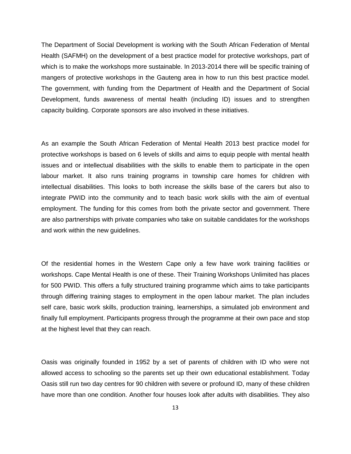The Department of Social Development is working with the South African Federation of Mental Health (SAFMH) on the development of a best practice model for protective workshops, part of which is to make the workshops more sustainable. In 2013-2014 there will be specific training of mangers of protective workshops in the Gauteng area in how to run this best practice model. The government, with funding from the Department of Health and the Department of Social Development, funds awareness of mental health (including ID) issues and to strengthen capacity building. Corporate sponsors are also involved in these initiatives.

As an example the South African Federation of Mental Health 2013 best practice model for protective workshops is based on 6 levels of skills and aims to equip people with mental health issues and or intellectual disabilities with the skills to enable them to participate in the open labour market. It also runs training programs in township care homes for children with intellectual disabilities. This looks to both increase the skills base of the carers but also to integrate PWID into the community and to teach basic work skills with the aim of eventual employment. The funding for this comes from both the private sector and government. There are also partnerships with private companies who take on suitable candidates for the workshops and work within the new guidelines.

Of the residential homes in the Western Cape only a few have work training facilities or workshops. Cape Mental Health is one of these. Their Training Workshops Unlimited has places for 500 PWID. This offers a fully structured training programme which aims to take participants through differing training stages to employment in the open labour market. The plan includes self care, basic work skills, production training, learnerships, a simulated job environment and finally full employment. Participants progress through the programme at their own pace and stop at the highest level that they can reach.

Oasis was originally founded in 1952 by a set of parents of children with ID who were not allowed access to schooling so the parents set up their own educational establishment. Today Oasis still run two day centres for 90 children with severe or profound ID, many of these children have more than one condition. Another four houses look after adults with disabilities. They also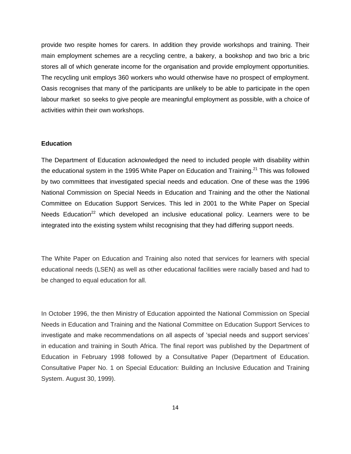provide two respite homes for carers. In addition they provide workshops and training. Their main employment schemes are a recycling centre, a bakery, a bookshop and two bric a bric stores all of which generate income for the organisation and provide employment opportunities. The recycling unit employs 360 workers who would otherwise have no prospect of employment. Oasis recognises that many of the participants are unlikely to be able to participate in the open labour market so seeks to give people are meaningful employment as possible, with a choice of activities within their own workshops.

#### **Education**

The Department of Education acknowledged the need to included people with disability within the educational system in the 1995 White Paper on Education and Training.<sup>21</sup> This was followed by two committees that investigated special needs and education. One of these was the 1996 National Commission on Special Needs in Education and Training and the other the National Committee on Education Support Services. This led in 2001 to the White Paper on Special Needs Education<sup>22</sup> which developed an inclusive educational policy. Learners were to be integrated into the existing system whilst recognising that they had differing support needs.

The White Paper on Education and Training also noted that services for learners with special educational needs (LSEN) as well as other educational facilities were racially based and had to be changed to equal education for all.

In October 1996, the then Ministry of Education appointed the National Commission on Special Needs in Education and Training and the National Committee on Education Support Services to investigate and make recommendations on all aspects of 'special needs and support services' in education and training in South Africa. The final report was published by the Department of Education in February 1998 followed by a Consultative Paper (Department of Education. Consultative Paper No. 1 on Special Education: Building an Inclusive Education and Training System. August 30, 1999).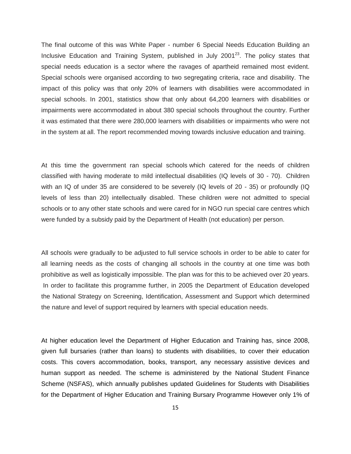The final outcome of this was White Paper - number 6 Special Needs Education Building an Inclusive Education and Training System, published in July 2001 $^{23}$ . The policy states that special needs education is a sector where the ravages of apartheid remained most evident. Special schools were organised according to two segregating criteria, race and disability. The impact of this policy was that only 20% of learners with disabilities were accommodated in special schools. In 2001, statistics show that only about 64,200 learners with disabilities or impairments were accommodated in about 380 special schools throughout the country. Further it was estimated that there were 280,000 learners with disabilities or impairments who were not in the system at all. The report recommended moving towards inclusive education and training.

At this time the government ran special schools which catered for the needs of children classified with having moderate to mild intellectual disabilities (IQ levels of 30 - 70). Children with an IQ of under 35 are considered to be severely (IQ levels of 20 - 35) or profoundly (IQ levels of less than 20) intellectually disabled. These children were not admitted to special schools or to any other state schools and were cared for in NGO run special care centres which were funded by a subsidy paid by the Department of Health (not education) per person.

All schools were gradually to be adjusted to full service schools in order to be able to cater for all learning needs as the costs of changing all schools in the country at one time was both prohibitive as well as logistically impossible. The plan was for this to be achieved over 20 years. In order to facilitate this programme further, in 2005 the Department of Education developed the National Strategy on Screening, Identification, Assessment and Support which determined the nature and level of support required by learners with special education needs.

At higher education level the Department of Higher Education and Training has, since 2008, given full bursaries (rather than loans) to students with disabilities, to cover their education costs. This covers accommodation, books, transport, any necessary assistive devices and human support as needed. The scheme is administered by the National Student Finance Scheme (NSFAS), which annually publishes updated Guidelines for Students with Disabilities for the Department of Higher Education and Training Bursary Programme However only 1% of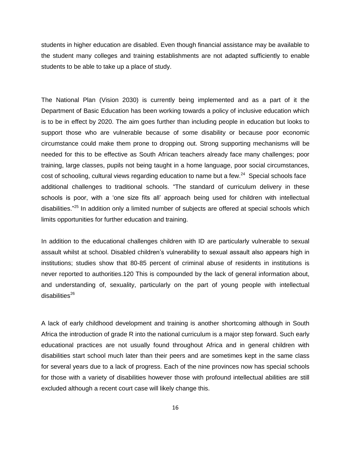students in higher education are disabled. Even though financial assistance may be available to the student many colleges and training establishments are not adapted sufficiently to enable students to be able to take up a place of study.

The National Plan (Vision 2030) is currently being implemented and as a part of it the Department of Basic Education has been working towards a policy of inclusive education which is to be in effect by 2020. The aim goes further than including people in education but looks to support those who are vulnerable because of some disability or because poor economic circumstance could make them prone to dropping out. Strong supporting mechanisms will be needed for this to be effective as South African teachers already face many challenges; poor training, large classes, pupils not being taught in a home language, poor social circumstances, cost of schooling, cultural views regarding education to name but a few.<sup>24</sup> Special schools face additional challenges to traditional schools. "The standard of curriculum delivery in these schools is poor, with a 'one size fits all' approach being used for children with intellectual disabilities."<sup>25</sup> In addition only a limited number of subjects are offered at special schools which limits opportunities for further education and training.

In addition to the educational challenges children with ID are particularly vulnerable to sexual assault whilst at school. Disabled children's vulnerability to sexual assault also appears high in institutions; studies show that 80-85 percent of criminal abuse of residents in institutions is never reported to authorities.120 This is compounded by the lack of general information about, and understanding of, sexuality, particularly on the part of young people with intellectual  $disabilities<sup>26</sup>$ 

A lack of early childhood development and training is another shortcoming although in South Africa the introduction of grade R into the national curriculum is a major step forward. Such early educational practices are not usually found throughout Africa and in general children with disabilities start school much later than their peers and are sometimes kept in the same class for several years due to a lack of progress. Each of the nine provinces now has special schools for those with a variety of disabilities however those with profound intellectual abilities are still excluded although a recent court case will likely change this.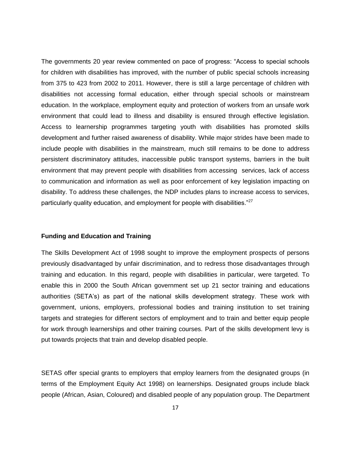The governments 20 year review commented on pace of progress: "Access to special schools for children with disabilities has improved, with the number of public special schools increasing from 375 to 423 from 2002 to 2011. However, there is still a large percentage of children with disabilities not accessing formal education, either through special schools or mainstream education. In the workplace, employment equity and protection of workers from an unsafe work environment that could lead to illness and disability is ensured through effective legislation. Access to learnership programmes targeting youth with disabilities has promoted skills development and further raised awareness of disability. While major strides have been made to include people with disabilities in the mainstream, much still remains to be done to address persistent discriminatory attitudes, inaccessible public transport systems, barriers in the built environment that may prevent people with disabilities from accessing services, lack of access to communication and information as well as poor enforcement of key legislation impacting on disability. To address these challenges, the NDP includes plans to increase access to services, particularly quality education, and employment for people with disabilities."<sup>27</sup>

#### **Funding and Education and Training**

The Skills Development Act of 1998 sought to improve the employment prospects of persons previously disadvantaged by unfair discrimination, and to redress those disadvantages through training and education. In this regard, people with disabilities in particular, were targeted. To enable this in 2000 the South African government set up 21 sector training and educations authorities (SETA's) as part of the national skills development strategy. These work with government, unions, employers, professional bodies and training institution to set training targets and strategies for different sectors of employment and to train and better equip people for work through learnerships and other training courses. Part of the skills development levy is put towards projects that train and develop disabled people.

SETAS offer special grants to employers that employ learners from the designated groups (in terms of the Employment Equity Act 1998) on learnerships. Designated groups include black people (African, Asian, Coloured) and disabled people of any population group. The Department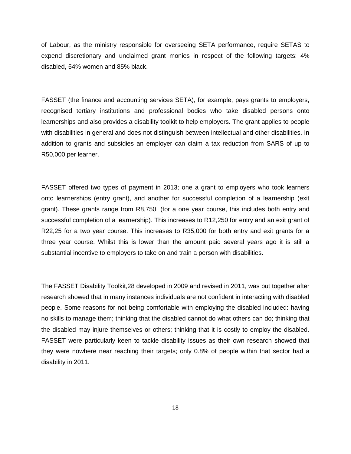of Labour, as the ministry responsible for overseeing SETA performance, require SETAS to expend discretionary and unclaimed grant monies in respect of the following targets: 4% disabled, 54% women and 85% black.

FASSET (the finance and accounting services SETA), for example, pays grants to employers, recognised tertiary institutions and professional bodies who take disabled persons onto learnerships and also provides a disability toolkit to help employers. The grant applies to people with disabilities in general and does not distinguish between intellectual and other disabilities. In addition to grants and subsidies an employer can claim a tax reduction from SARS of up to R50,000 per learner.

FASSET offered two types of payment in 2013; one a grant to employers who took learners onto learnerships (entry grant), and another for successful completion of a learnership (exit grant). These grants range from R8,750, (for a one year course, this includes both entry and successful completion of a learnership). This increases to R12,250 for entry and an exit grant of R22,25 for a two year course. This increases to R35,000 for both entry and exit grants for a three year course. Whilst this is lower than the amount paid several years ago it is still a substantial incentive to employers to take on and train a person with disabilities.

The FASSET Disability Toolkit,28 developed in 2009 and revised in 2011, was put together after research showed that in many instances individuals are not confident in interacting with disabled people. Some reasons for not being comfortable with employing the disabled included: having no skills to manage them; thinking that the disabled cannot do what others can do; thinking that the disabled may injure themselves or others; thinking that it is costly to employ the disabled. FASSET were particularly keen to tackle disability issues as their own research showed that they were nowhere near reaching their targets; only 0.8% of people within that sector had a disability in 2011.

18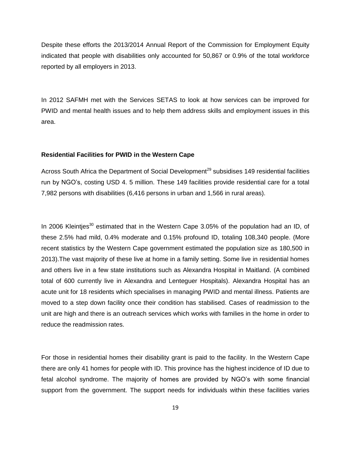Despite these efforts the 2013/2014 Annual Report of the Commission for Employment Equity indicated that people with disabilities only accounted for 50,867 or 0.9% of the total workforce reported by all employers in 2013.

In 2012 SAFMH met with the Services SETAS to look at how services can be improved for PWID and mental health issues and to help them address skills and employment issues in this area.

#### **Residential Facilities for PWID in the Western Cape**

Across South Africa the Department of Social Development<sup>29</sup> subsidises 149 residential facilities run by NGO's, costing USD 4. 5 million. These 149 facilities provide residential care for a total 7,982 persons with disabilities (6,416 persons in urban and 1,566 in rural areas).

In 2006 Kleintjes<sup>30</sup> estimated that in the Western Cape 3.05% of the population had an ID, of these 2.5% had mild, 0.4% moderate and 0.15% profound ID, totaling 108,340 people. (More recent statistics by the Western Cape government estimated the population size as 180,500 in 2013).The vast majority of these live at home in a family setting. Some live in residential homes and others live in a few state institutions such as Alexandra Hospital in Maitland. (A combined total of 600 currently live in Alexandra and Lenteguer Hospitals). Alexandra Hospital has an acute unit for 18 residents which specialises in managing PWID and mental illness. Patients are moved to a step down facility once their condition has stabilised. Cases of readmission to the unit are high and there is an outreach services which works with families in the home in order to reduce the readmission rates.

For those in residential homes their disability grant is paid to the facility. In the Western Cape there are only 41 homes for people with ID. This province has the highest incidence of ID due to fetal alcohol syndrome. The majority of homes are provided by NGO's with some financial support from the government. The support needs for individuals within these facilities varies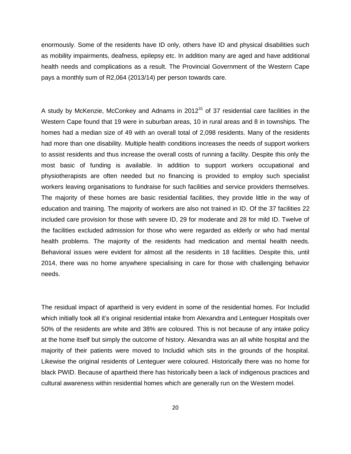enormously. Some of the residents have ID only, others have ID and physical disabilities such as mobility impairments, deafness, epilepsy etc. In addition many are aged and have additional health needs and complications as a result. The Provincial Government of the Western Cape pays a monthly sum of R2,064 (2013/14) per person towards care.

A study by McKenzie, McConkey and Adnams in  $2012<sup>31</sup>$  of 37 residential care facilities in the Western Cape found that 19 were in suburban areas, 10 in rural areas and 8 in townships. The homes had a median size of 49 with an overall total of 2,098 residents. Many of the residents had more than one disability. Multiple health conditions increases the needs of support workers to assist residents and thus increase the overall costs of running a facility. Despite this only the most basic of funding is available. In addition to support workers occupational and physiotherapists are often needed but no financing is provided to employ such specialist workers leaving organisations to fundraise for such facilities and service providers themselves. The majority of these homes are basic residential facilities, they provide little in the way of education and training. The majority of workers are also not trained in ID. Of the 37 facilities 22 included care provision for those with severe ID, 29 for moderate and 28 for mild ID. Twelve of the facilities excluded admission for those who were regarded as elderly or who had mental health problems. The majority of the residents had medication and mental health needs. Behavioral issues were evident for almost all the residents in 18 facilities. Despite this, until 2014, there was no home anywhere specialising in care for those with challenging behavior needs.

The residual impact of apartheid is very evident in some of the residential homes. For Includid which initially took all it's original residential intake from Alexandra and Lenteguer Hospitals over 50% of the residents are white and 38% are coloured. This is not because of any intake policy at the home itself but simply the outcome of history. Alexandra was an all white hospital and the majority of their patients were moved to Includid which sits in the grounds of the hospital. Likewise the original residents of Lenteguer were coloured. Historically there was no home for black PWID. Because of apartheid there has historically been a lack of indigenous practices and cultural awareness within residential homes which are generally run on the Western model.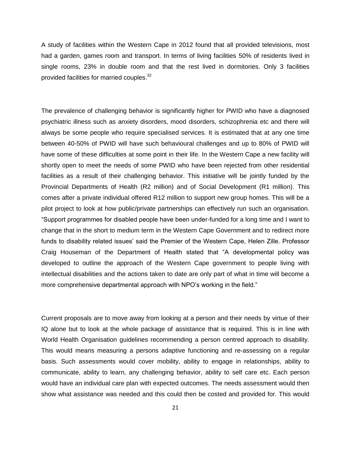A study of facilities within the Western Cape in 2012 found that all provided televisions, most had a garden, games room and transport. In terms of living facilities 50% of residents lived in single rooms, 23% in double room and that the rest lived in dormitories. Only 3 facilities provided facilities for married couples.<sup>32</sup>

The prevalence of challenging behavior is significantly higher for PWID who have a diagnosed psychiatric illness such as anxiety disorders, mood disorders, schizophrenia etc and there will always be some people who require specialised services. It is estimated that at any one time between 40-50% of PWID will have such behavioural challenges and up to 80% of PWID will have some of these difficulties at some point in their life. In the Western Cape a new facility will shortly open to meet the needs of some PWID who have been rejected from other residential facilities as a result of their challenging behavior. This initiative will be jointly funded by the Provincial Departments of Health (R2 million) and of Social Development (R1 million). This comes after a private individual offered R12 million to support new group homes. This will be a pilot project to look at how public/private partnerships can effectively run such an organisation. "Support programmes for disabled people have been under-funded for a long time and I want to change that in the short to medium term in the Western Cape Government and to redirect more funds to disability related issues' said the Premier of the Western Cape, Helen Zille. Professor Craig Houseman of the Department of Health stated that "A developmental policy was developed to outline the approach of the Western Cape government to people living with intellectual disabilities and the actions taken to date are only part of what in time will become a more comprehensive departmental approach with NPO's working in the field."

Current proposals are to move away from looking at a person and their needs by virtue of their IQ alone but to look at the whole package of assistance that is required. This is in line with World Health Organisation guidelines recommending a person centred approach to disability. This would means measuring a persons adaptive functioning and re-assessing on a regular basis. Such assessments would cover mobility, ability to engage in relationships, ability to communicate, ability to learn, any challenging behavior, ability to self care etc. Each person would have an individual care plan with expected outcomes. The needs assessment would then show what assistance was needed and this could then be costed and provided for. This would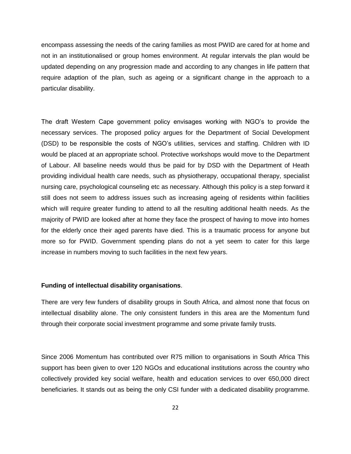encompass assessing the needs of the caring families as most PWID are cared for at home and not in an institutionalised or group homes environment. At regular intervals the plan would be updated depending on any progression made and according to any changes in life pattern that require adaption of the plan, such as ageing or a significant change in the approach to a particular disability.

The draft Western Cape government policy envisages working with NGO's to provide the necessary services. The proposed policy argues for the Department of Social Development (DSD) to be responsible the costs of NGO's utilities, services and staffing. Children with ID would be placed at an appropriate school. Protective workshops would move to the Department of Labour. All baseline needs would thus be paid for by DSD with the Department of Heath providing individual health care needs, such as physiotherapy, occupational therapy, specialist nursing care, psychological counseling etc as necessary. Although this policy is a step forward it still does not seem to address issues such as increasing ageing of residents within facilities which will require greater funding to attend to all the resulting additional health needs. As the majority of PWID are looked after at home they face the prospect of having to move into homes for the elderly once their aged parents have died. This is a traumatic process for anyone but more so for PWID. Government spending plans do not a yet seem to cater for this large increase in numbers moving to such facilities in the next few years.

#### **Funding of intellectual disability organisations**.

There are very few funders of disability groups in South Africa, and almost none that focus on intellectual disability alone. The only consistent funders in this area are the Momentum fund through their corporate social investment programme and some private family trusts.

Since 2006 Momentum has contributed over R75 million to organisations in South Africa This support has been given to over 120 NGOs and educational institutions across the country who collectively provided key social welfare, health and education services to over 650,000 direct beneficiaries. It stands out as being the only CSI funder with a dedicated disability programme.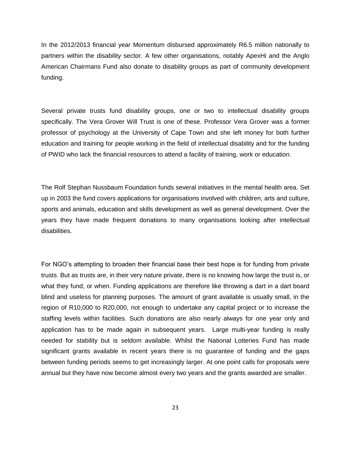In the 2012/2013 financial year Momentum disbursed approximately R6.5 million nationally to partners within the disability sector. A few other organisations, notably ApexHi and the Anglo American Chairmans Fund also donate to disability groups as part of community development funding.

Several private trusts fund disability groups, one or two to intellectual disability groups specifically. The Vera Grover Will Trust is one of these. Professor Vera Grover was a former professor of psychology at the University of Cape Town and she left money for both further education and training for people working in the field of intellectual disability and for the funding of PWID who lack the financial resources to attend a facility of training, work or education.

The Rolf Stephan Nussbaum Foundation funds several initiatives in the mental health area. Set up in 2003 the fund covers applications for organisations involved with children, arts and culture, sports and animals, education and skills development as well as general development. Over the years they have made frequent donations to many organisations looking after intellectual disabilities.

For NGO's attempting to broaden their financial base their best hope is for funding from private trusts. But as trusts are, in their very nature private, there is no knowing how large the trust is, or what they fund, or when. Funding applications are therefore like throwing a dart in a dart board blind and useless for planning purposes. The amount of grant available is usually small, in the region of R10,000 to R20,000, not enough to undertake any capital project or to increase the staffing levels within facilities. Such donations are also nearly always for one year only and application has to be made again in subsequent years. Large multi-year funding is really needed for stability but is seldom available. Whilst the National Lotteries Fund has made significant grants available in recent years there is no guarantee of funding and the gaps between funding periods seems to get increasingly larger. At one point calls for proposals were annual but they have now become almost every two years and the grants awarded are smaller.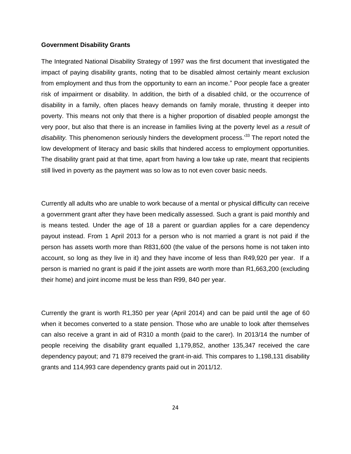#### **Government Disability Grants**

The Integrated National Disability Strategy of 1997 was the first document that investigated the impact of paying disability grants, noting that to be disabled almost certainly meant exclusion from employment and thus from the opportunity to earn an income." Poor people face a greater risk of impairment or disability. In addition, the birth of a disabled child, or the occurrence of disability in a family, often places heavy demands on family morale, thrusting it deeper into poverty. This means not only that there is a higher proportion of disabled people amongst the very poor, but also that there is an increase in families living at the poverty level *as a result of*  disability. This phenomenon seriously hinders the development process.<sup>33</sup> The report noted the low development of literacy and basic skills that hindered access to employment opportunities. The disability grant paid at that time, apart from having a low take up rate, meant that recipients still lived in poverty as the payment was so low as to not even cover basic needs.

Currently all adults who are unable to work because of a mental or physical difficulty can receive a government grant after they have been medically assessed. Such a grant is paid monthly and is means tested. Under the age of 18 a parent or guardian applies for a care dependency payout instead. From 1 April 2013 for a person who is not married a grant is not paid if the person has assets worth more than R831,600 (the value of the persons home is not taken into account, so long as they live in it) and they have income of less than R49,920 per year. If a person is married no grant is paid if the joint assets are worth more than R1,663,200 (excluding their home) and joint income must be less than R99, 840 per year.

Currently the grant is worth R1,350 per year (April 2014) and can be paid until the age of 60 when it becomes converted to a state pension. Those who are unable to look after themselves can also receive a grant in aid of R310 a month (paid to the carer). In 2013/14 the number of people receiving the disability grant equalled 1,179,852, another 135,347 received the care dependency payout; and 71 879 received the grant-in-aid. This compares to 1,198,131 disability grants and 114,993 care dependency grants paid out in 2011/12.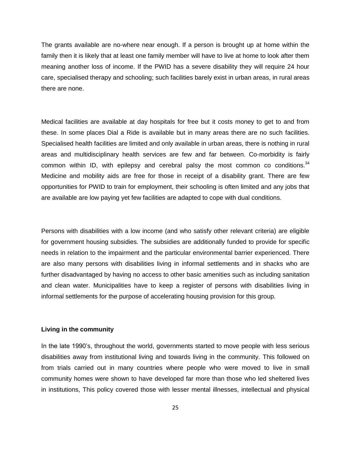The grants available are no-where near enough. If a person is brought up at home within the family then it is likely that at least one family member will have to live at home to look after them meaning another loss of income. If the PWID has a severe disability they will require 24 hour care, specialised therapy and schooling; such facilities barely exist in urban areas, in rural areas there are none.

Medical facilities are available at day hospitals for free but it costs money to get to and from these. In some places Dial a Ride is available but in many areas there are no such facilities. Specialised health facilities are limited and only available in urban areas, there is nothing in rural areas and multidisciplinary health services are few and far between. Co-morbidity is fairly common within ID, with epilepsy and cerebral palsy the most common co conditions.  $34$ Medicine and mobility aids are free for those in receipt of a disability grant. There are few opportunities for PWID to train for employment, their schooling is often limited and any jobs that are available are low paying yet few facilities are adapted to cope with dual conditions.

Persons with disabilities with a low income (and who satisfy other relevant criteria) are eligible for government housing subsidies. The subsidies are additionally funded to provide for specific needs in relation to the impairment and the particular environmental barrier experienced. There are also many persons with disabilities living in informal settlements and in shacks who are further disadvantaged by having no access to other basic amenities such as including sanitation and clean water. Municipalities have to keep a register of persons with disabilities living in informal settlements for the purpose of accelerating housing provision for this group.

### **Living in the community**

In the late 1990's, throughout the world, governments started to move people with less serious disabilities away from institutional living and towards living in the community. This followed on from trials carried out in many countries where people who were moved to live in small community homes were shown to have developed far more than those who led sheltered lives in institutions, This policy covered those with lesser mental illnesses, intellectual and physical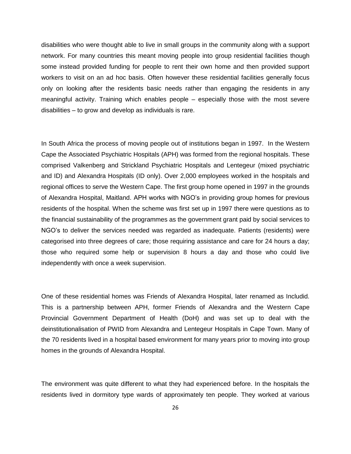disabilities who were thought able to live in small groups in the community along with a support network. For many countries this meant moving people into group residential facilities though some instead provided funding for people to rent their own home and then provided support workers to visit on an ad hoc basis. Often however these residential facilities generally focus only on looking after the residents basic needs rather than engaging the residents in any meaningful activity. Training which enables people – especially those with the most severe disabilities – to grow and develop as individuals is rare.

In South Africa the process of moving people out of institutions began in 1997. In the Western Cape the Associated Psychiatric Hospitals (APH) was formed from the regional hospitals. These comprised Valkenberg and Strickland Psychiatric Hospitals and Lentegeur (mixed psychiatric and ID) and Alexandra Hospitals (ID only). Over 2,000 employees worked in the hospitals and regional offices to serve the Western Cape. The first group home opened in 1997 in the grounds of Alexandra Hospital, Maitland. APH works with NGO's in providing group homes for previous residents of the hospital. When the scheme was first set up in 1997 there were questions as to the financial sustainability of the programmes as the government grant paid by social services to NGO's to deliver the services needed was regarded as inadequate. Patients (residents) were categorised into three degrees of care; those requiring assistance and care for 24 hours a day; those who required some help or supervision 8 hours a day and those who could live independently with once a week supervision.

One of these residential homes was Friends of Alexandra Hospital, later renamed as Includid. This is a partnership between APH, former Friends of Alexandra and the Western Cape Provincial Government Department of Health (DoH) and was set up to deal with the deinstitutionalisation of PWID from Alexandra and Lentegeur Hospitals in Cape Town. Many of the 70 residents lived in a hospital based environment for many years prior to moving into group homes in the grounds of Alexandra Hospital.

The environment was quite different to what they had experienced before. In the hospitals the residents lived in dormitory type wards of approximately ten people. They worked at various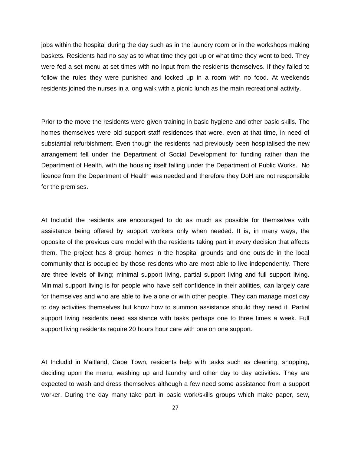jobs within the hospital during the day such as in the laundry room or in the workshops making baskets. Residents had no say as to what time they got up or what time they went to bed. They were fed a set menu at set times with no input from the residents themselves. If they failed to follow the rules they were punished and locked up in a room with no food. At weekends residents joined the nurses in a long walk with a picnic lunch as the main recreational activity.

Prior to the move the residents were given training in basic hygiene and other basic skills. The homes themselves were old support staff residences that were, even at that time, in need of substantial refurbishment. Even though the residents had previously been hospitalised the new arrangement fell under the Department of Social Development for funding rather than the Department of Health, with the housing itself falling under the Department of Public Works. No licence from the Department of Health was needed and therefore they DoH are not responsible for the premises.

At Includid the residents are encouraged to do as much as possible for themselves with assistance being offered by support workers only when needed. It is, in many ways, the opposite of the previous care model with the residents taking part in every decision that affects them. The project has 8 group homes in the hospital grounds and one outside in the local community that is occupied by those residents who are most able to live independently. There are three levels of living; minimal support living, partial support living and full support living. Minimal support living is for people who have self confidence in their abilities, can largely care for themselves and who are able to live alone or with other people. They can manage most day to day activities themselves but know how to summon assistance should they need it. Partial support living residents need assistance with tasks perhaps one to three times a week. Full support living residents require 20 hours hour care with one on one support.

At Includid in Maitland, Cape Town, residents help with tasks such as cleaning, shopping, deciding upon the menu, washing up and laundry and other day to day activities. They are expected to wash and dress themselves although a few need some assistance from a support worker. During the day many take part in basic work/skills groups which make paper, sew,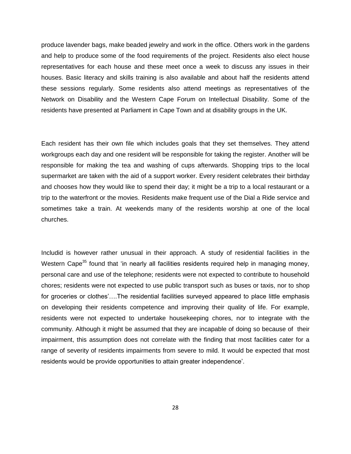produce lavender bags, make beaded jewelry and work in the office. Others work in the gardens and help to produce some of the food requirements of the project. Residents also elect house representatives for each house and these meet once a week to discuss any issues in their houses. Basic literacy and skills training is also available and about half the residents attend these sessions regularly. Some residents also attend meetings as representatives of the Network on Disability and the Western Cape Forum on Intellectual Disability. Some of the residents have presented at Parliament in Cape Town and at disability groups in the UK.

Each resident has their own file which includes goals that they set themselves. They attend workgroups each day and one resident will be responsible for taking the register. Another will be responsible for making the tea and washing of cups afterwards. Shopping trips to the local supermarket are taken with the aid of a support worker. Every resident celebrates their birthday and chooses how they would like to spend their day; it might be a trip to a local restaurant or a trip to the waterfront or the movies. Residents make frequent use of the Dial a Ride service and sometimes take a train. At weekends many of the residents worship at one of the local churches.

Includid is however rather unusual in their approach. A study of residential facilities in the Western Cape<sup>35</sup> found that 'in nearly all facilities residents required help in managing money, personal care and use of the telephone; residents were not expected to contribute to household chores; residents were not expected to use public transport such as buses or taxis, nor to shop for groceries or clothes'….The residential facilities surveyed appeared to place little emphasis on developing their residents competence and improving their quality of life. For example, residents were not expected to undertake housekeeping chores, nor to integrate with the community. Although it might be assumed that they are incapable of doing so because of their impairment, this assumption does not correlate with the finding that most facilities cater for a range of severity of residents impairments from severe to mild. It would be expected that most residents would be provide opportunities to attain greater independence'.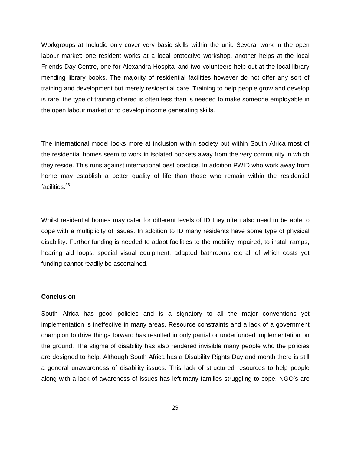Workgroups at Includid only cover very basic skills within the unit. Several work in the open labour market: one resident works at a local protective workshop, another helps at the local Friends Day Centre, one for Alexandra Hospital and two volunteers help out at the local library mending library books. The majority of residential facilities however do not offer any sort of training and development but merely residential care. Training to help people grow and develop is rare, the type of training offered is often less than is needed to make someone employable in the open labour market or to develop income generating skills.

The international model looks more at inclusion within society but within South Africa most of the residential homes seem to work in isolated pockets away from the very community in which they reside. This runs against international best practice. In addition PWID who work away from home may establish a better quality of life than those who remain within the residential facilities.<sup>36</sup>

Whilst residential homes may cater for different levels of ID they often also need to be able to cope with a multiplicity of issues. In addition to ID many residents have some type of physical disability. Further funding is needed to adapt facilities to the mobility impaired, to install ramps, hearing aid loops, special visual equipment, adapted bathrooms etc all of which costs yet funding cannot readily be ascertained.

#### **Conclusion**

South Africa has good policies and is a signatory to all the major conventions yet implementation is ineffective in many areas. Resource constraints and a lack of a government champion to drive things forward has resulted in only partial or underfunded implementation on the ground. The stigma of disability has also rendered invisible many people who the policies are designed to help. Although South Africa has a Disability Rights Day and month there is still a general unawareness of disability issues. This lack of structured resources to help people along with a lack of awareness of issues has left many families struggling to cope. NGO's are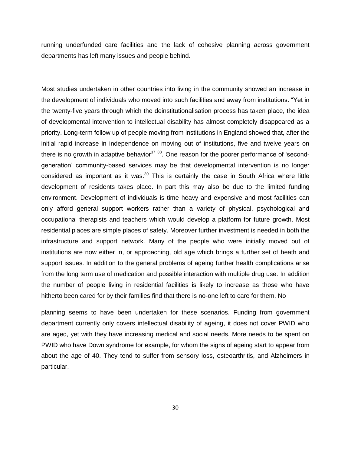running underfunded care facilities and the lack of cohesive planning across government departments has left many issues and people behind.

Most studies undertaken in other countries into living in the community showed an increase in the development of individuals who moved into such facilities and away from institutions. "Yet in the twenty-five years through which the deinstitutionalisation process has taken place, the idea of developmental intervention to intellectual disability has almost completely disappeared as a priority. Long-term follow up of people moving from institutions in England showed that, after the initial rapid increase in independence on moving out of institutions, five and twelve years on there is no growth in adaptive behavior $37,38$ . One reason for the poorer performance of 'secondgeneration' community-based services may be that developmental intervention is no longer considered as important as it was.<sup>39</sup> This is certainly the case in South Africa where little development of residents takes place. In part this may also be due to the limited funding environment. Development of individuals is time heavy and expensive and most facilities can only afford general support workers rather than a variety of physical, psychological and occupational therapists and teachers which would develop a platform for future growth. Most residential places are simple places of safety. Moreover further investment is needed in both the infrastructure and support network. Many of the people who were initially moved out of institutions are now either in, or approaching, old age which brings a further set of heath and support issues. In addition to the general problems of ageing further health complications arise from the long term use of medication and possible interaction with multiple drug use. In addition the number of people living in residential facilities is likely to increase as those who have hitherto been cared for by their families find that there is no-one left to care for them. No

planning seems to have been undertaken for these scenarios. Funding from government department currently only covers intellectual disability of ageing, it does not cover PWID who are aged, yet with they have increasing medical and social needs. More needs to be spent on PWID who have Down syndrome for example, for whom the signs of ageing start to appear from about the age of 40. They tend to suffer from sensory loss, osteoarthritis, and Alzheimers in particular.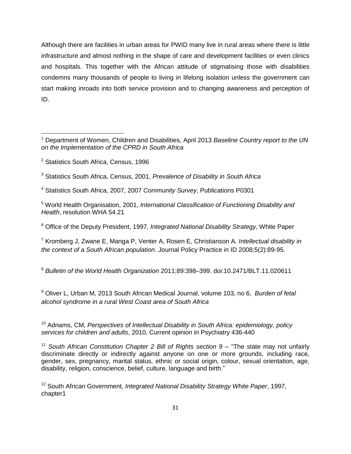Although there are facilities in urban areas for PWID many live in rural areas where there is little infrastructure and almost nothing in the shape of care and development facilities or even clinics and hospitals. This together with the African attitude of stigmatising those with disabilities condemns many thousands of people to living in lifelong isolation unless the government can start making inroads into both service provision and to changing awareness and perception of ID.

<sup>2</sup> Statistics South Africa, Census, 1996

l

- <sup>3</sup> Statistics South Africa, Census, 2001, *Prevalence of Disability in South Africa*
- <sup>4</sup> Statistics South Africa, 2007, 2007 *Community Survey*, Publications P0301

<sup>5</sup> World Health Organisation, 2001, *International Classification of Functioning Disability and Health*, resolution WHA 54.21

<sup>6</sup> Office of the Deputy President, 1997*, Integrated National Disability Strategy*, White Paper

<sup>7</sup> Kromberg J, Zwane E, Manga P, Venter A, Rosen E, Christianson A. *Intellectual disability in the context of a South African population*. Journal Policy Practice in ID 2008;5(2):89-95.

<sup>8</sup> *Bulletin of the World Health Organization* 2011;89:398–399. doi:10.2471/BLT.11.020611

<sup>9</sup> Oliver L, Urban M, 2013 South African Medical Journal, volume 103, no 6, *Burden of fetal alcohol syndrome in a rural West Coast area of South Africa*

<sup>10</sup> Adnams, CM, *Perspectives of Intellectual Disability in South Africa: epidemiology, policy services for children and adults*, 2010, Current opinion in Psychiatry 436-440

<sup>11</sup> South African Constitution Chapter 2 Bill of Rights section 9 – "The state may not unfairly discriminate directly or indirectly against anyone on one or more grounds, including race, gender, sex, pregnancy, marital status, ethnic or social origin, colour, sexual orientation, age, disability, religion, conscience, belief, culture, language and birth."

<sup>12</sup> South African Government*, Integrated National Disability Strategy White Paper*, 1997, chapter1

<sup>1</sup> Department of Women, Children and Disabilities, April 2013 *Baseline Country report to the UN on the Implementation of the CPRD in South Africa*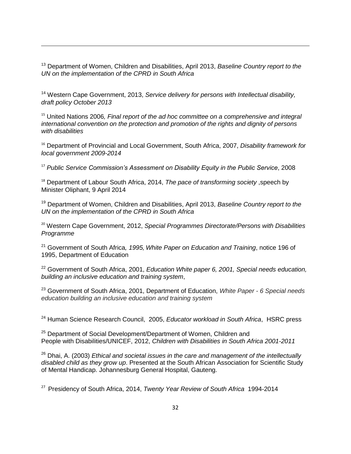<sup>13</sup> Department of Women, Children and Disabilities, April 2013, *Baseline Country report to the UN on the implementation of the CPRD in South Africa*

 $\overline{\phantom{a}}$ 

<sup>14</sup> Western Cape Government, 2013, *Service delivery for persons with Intellectual disability, draft policy October 2013*

<sup>15</sup> United Nations 2006, Final report of the ad hoc committee on a comprehensive and integral *international convention on the protection and promotion of the rights and dignity of persons with disabilities*

<sup>16</sup> Department of Provincial and Local Government, South Africa, 2007, *Disability framework for local government 2009-2014*

<sup>17</sup> *Public Service Commission's Assessment on Disability Equity in the Public Service*, 2008

<sup>18</sup> Department of Labour South Africa, 2014, *The pace of transforming society*, speech by Minister Oliphant, 9 April 2014

<sup>19</sup> Department of Women, Children and Disabilities, April 2013, *Baseline Country report to the UN on the implementation of the CPRD in South Africa*

<sup>20</sup> Western Cape Government, 2012, *Special Programmes Directorate/Persons with Disabilities Programme*

<sup>21</sup> Government of South Africa*, 1995, White Paper on Education and Training*, notice 196 of 1995, Department of Education

<sup>22</sup> Government of South Africa, 2001, *Education White paper 6, 2001, Special needs education, building an inclusive education and training system*,

<sup>23</sup> Government of South Africa, 2001, Department of Education, *White Paper - 6 Special needs education building an inclusive education and training system*

<sup>24</sup> Human Science Research Council, 2005, *Educator workload in South Africa*, HSRC press

<sup>25</sup> Department of Social Development/Department of Women, Children and People with Disabilities/UNICEF, 2012, *Children with Disabilities in South Africa 2001-2011*

<sup>26</sup> Dhai, A. (2003) *Ethical and societal issues in the care and management of the intellectually disabled child as they grow up*. Presented at the South African Association for Scientific Study of Mental Handicap. Johannesburg General Hospital, Gauteng.

27 Presidency of South Africa, 2014, *Twenty Year Review of South Africa* 1994-2014